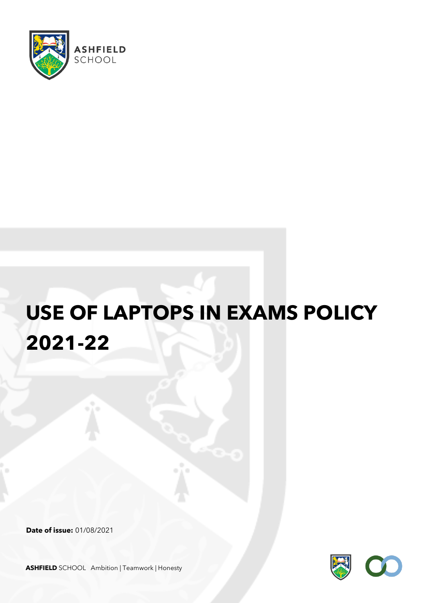

## **USE OF LAPTOPS IN EXAMS POLICY 2021-22**

**Date of issue:** 01/08/2021



**ASHFIELD** SCHOOL Ambition | Teamwork | Honesty